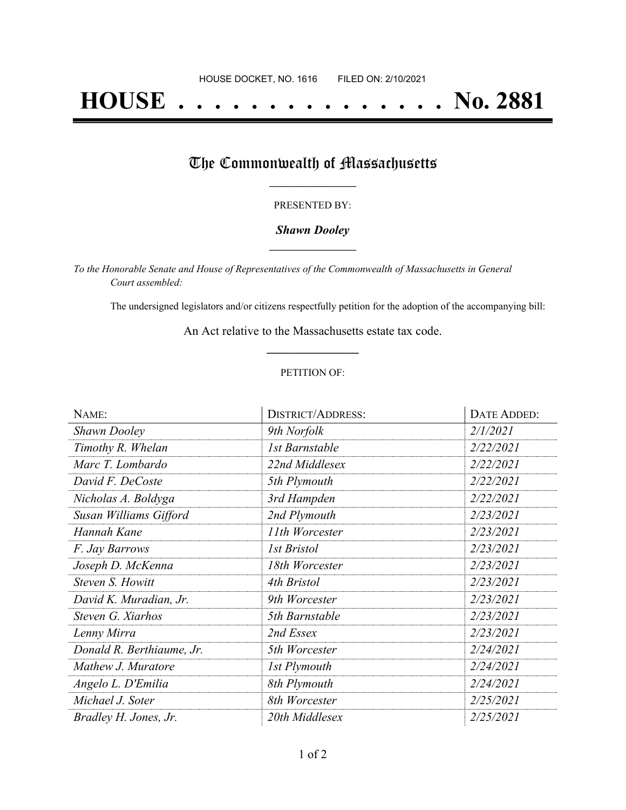# **HOUSE . . . . . . . . . . . . . . . No. 2881**

## The Commonwealth of Massachusetts

#### PRESENTED BY:

#### *Shawn Dooley* **\_\_\_\_\_\_\_\_\_\_\_\_\_\_\_\_\_**

*To the Honorable Senate and House of Representatives of the Commonwealth of Massachusetts in General Court assembled:*

The undersigned legislators and/or citizens respectfully petition for the adoption of the accompanying bill:

An Act relative to the Massachusetts estate tax code. **\_\_\_\_\_\_\_\_\_\_\_\_\_\_\_**

#### PETITION OF:

| NAME:                     | <b>DISTRICT/ADDRESS:</b> | DATE ADDED: |
|---------------------------|--------------------------|-------------|
| <b>Shawn Dooley</b>       | 9th Norfolk              | 2/1/2021    |
| Timothy R. Whelan         | 1st Barnstable           | 2/22/2021   |
| Marc T. Lombardo          | 22nd Middlesex           | 2/22/2021   |
| David F. DeCoste          | 5th Plymouth             | 2/22/2021   |
| Nicholas A. Boldyga       | 3rd Hampden              | 2/22/2021   |
| Susan Williams Gifford    | 2nd Plymouth             | 2/23/2021   |
| Hannah Kane               | 11th Worcester           | 2/23/2021   |
| F. Jay Barrows            | 1st Bristol              | 2/23/2021   |
| Joseph D. McKenna         | 18th Worcester           | 2/23/2021   |
| Steven S. Howitt          | 4th Bristol              | 2/23/2021   |
| David K. Muradian, Jr.    | 9th Worcester            | 2/23/2021   |
| Steven G. Xiarhos         | 5th Barnstable           | 2/23/2021   |
| Lenny Mirra               | 2nd Essex                | 2/23/2021   |
| Donald R. Berthiaume, Jr. | 5th Worcester            | 2/24/2021   |
| Mathew J. Muratore        | 1st Plymouth             | 2/24/2021   |
| Angelo L. D'Emilia        | 8th Plymouth             | 2/24/2021   |
| Michael J. Soter          | 8th Worcester            | 2/25/2021   |
| Bradley H. Jones, Jr.     | 20th Middlesex           | 2/25/2021   |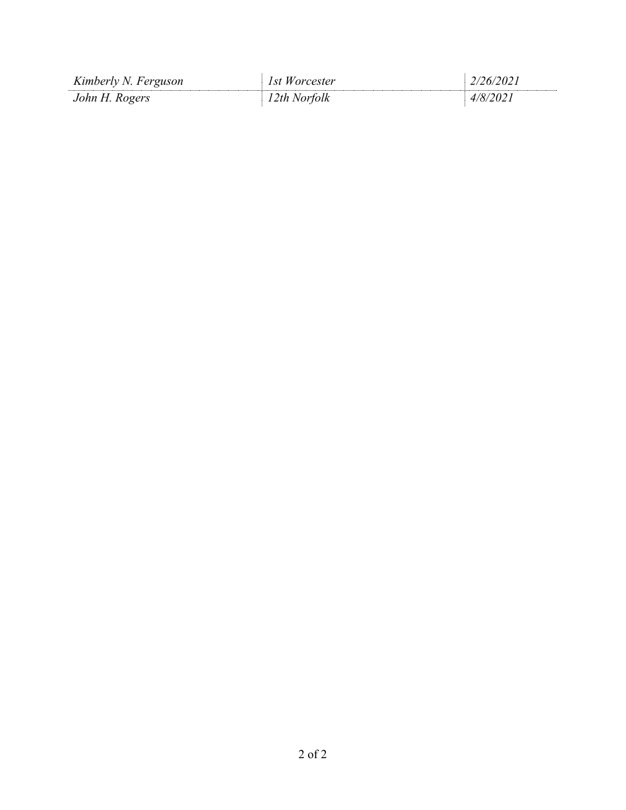| Kimberly N. Ferguson | 1st Worcester | 2/26/2021 |
|----------------------|---------------|-----------|
| John H. Rogers       | 12th Norfolk  | 4/8/2021  |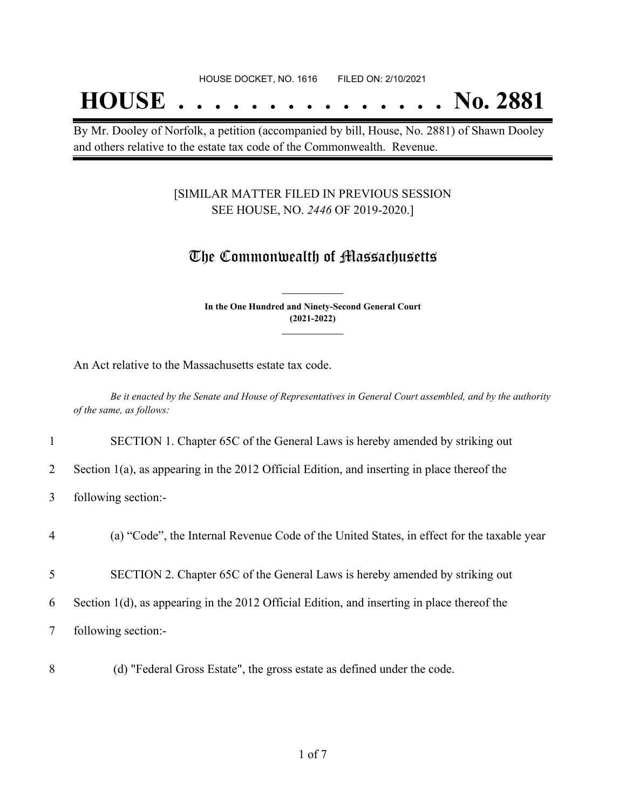## **HOUSE . . . . . . . . . . . . . . . No. 2881**

By Mr. Dooley of Norfolk, a petition (accompanied by bill, House, No. 2881) of Shawn Dooley and others relative to the estate tax code of the Commonwealth. Revenue.

#### [SIMILAR MATTER FILED IN PREVIOUS SESSION SEE HOUSE, NO. *2446* OF 2019-2020.]

### The Commonwealth of Massachusetts

**In the One Hundred and Ninety-Second General Court (2021-2022) \_\_\_\_\_\_\_\_\_\_\_\_\_\_\_**

**\_\_\_\_\_\_\_\_\_\_\_\_\_\_\_**

An Act relative to the Massachusetts estate tax code.

Be it enacted by the Senate and House of Representatives in General Court assembled, and by the authority *of the same, as follows:*

1 SECTION 1. Chapter 65C of the General Laws is hereby amended by striking out

2 Section 1(a), as appearing in the 2012 Official Edition, and inserting in place thereof the

3 following section:-

4 (a) "Code", the Internal Revenue Code of the United States, in effect for the taxable year

5 SECTION 2. Chapter 65C of the General Laws is hereby amended by striking out

6 Section 1(d), as appearing in the 2012 Official Edition, and inserting in place thereof the

7 following section:-

8 (d) "Federal Gross Estate", the gross estate as defined under the code.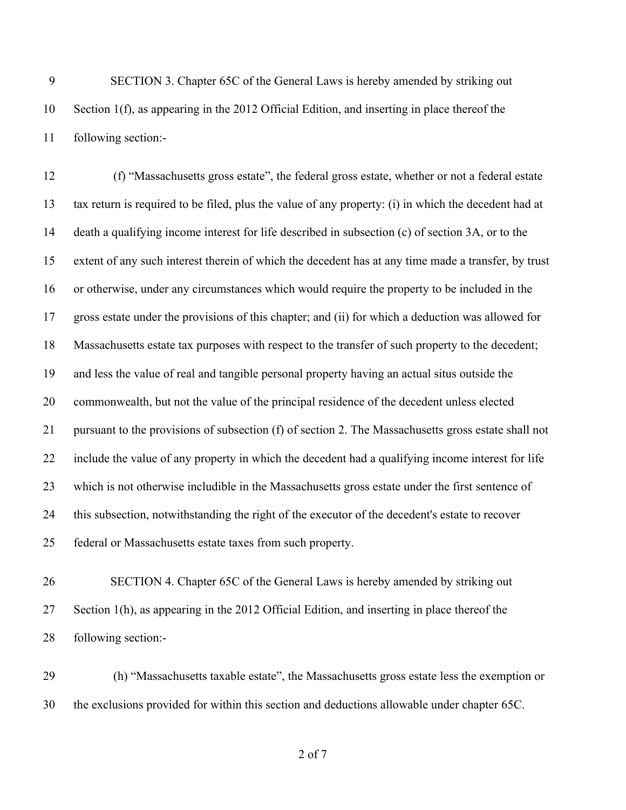SECTION 3. Chapter 65C of the General Laws is hereby amended by striking out Section 1(f), as appearing in the 2012 Official Edition, and inserting in place thereof the following section:-

 (f) "Massachusetts gross estate", the federal gross estate, whether or not a federal estate tax return is required to be filed, plus the value of any property: (i) in which the decedent had at death a qualifying income interest for life described in subsection (c) of section 3A, or to the extent of any such interest therein of which the decedent has at any time made a transfer, by trust or otherwise, under any circumstances which would require the property to be included in the gross estate under the provisions of this chapter; and (ii) for which a deduction was allowed for Massachusetts estate tax purposes with respect to the transfer of such property to the decedent; and less the value of real and tangible personal property having an actual situs outside the commonwealth, but not the value of the principal residence of the decedent unless elected pursuant to the provisions of subsection (f) of section 2. The Massachusetts gross estate shall not include the value of any property in which the decedent had a qualifying income interest for life which is not otherwise includible in the Massachusetts gross estate under the first sentence of this subsection, notwithstanding the right of the executor of the decedent's estate to recover federal or Massachusetts estate taxes from such property.

 SECTION 4. Chapter 65C of the General Laws is hereby amended by striking out Section 1(h), as appearing in the 2012 Official Edition, and inserting in place thereof the following section:-

 (h) "Massachusetts taxable estate", the Massachusetts gross estate less the exemption or the exclusions provided for within this section and deductions allowable under chapter 65C.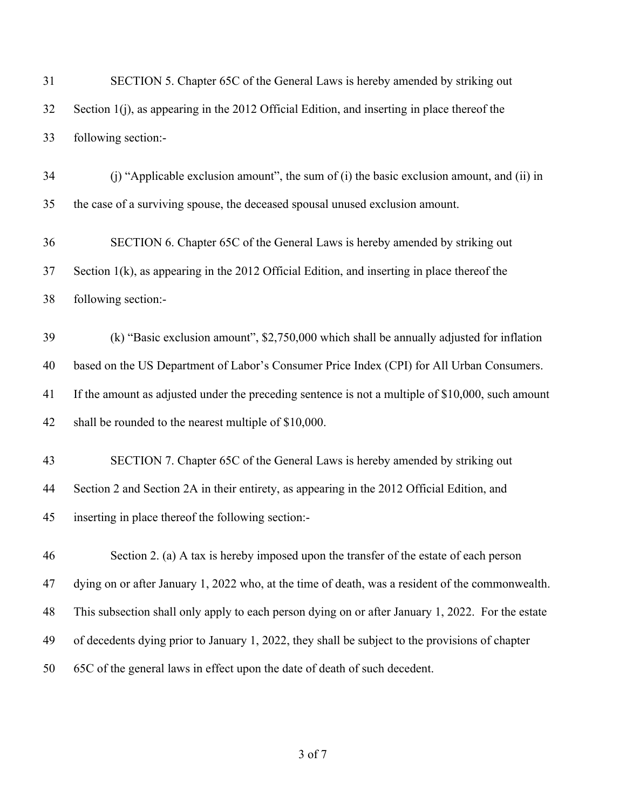| 31 | SECTION 5. Chapter 65C of the General Laws is hereby amended by striking out                      |
|----|---------------------------------------------------------------------------------------------------|
| 32 | Section 1(j), as appearing in the 2012 Official Edition, and inserting in place thereof the       |
| 33 | following section:-                                                                               |
| 34 | (i) "Applicable exclusion amount", the sum of (i) the basic exclusion amount, and (ii) in         |
| 35 | the case of a surviving spouse, the deceased spousal unused exclusion amount.                     |
| 36 | SECTION 6. Chapter 65C of the General Laws is hereby amended by striking out                      |
| 37 | Section $1(k)$ , as appearing in the 2012 Official Edition, and inserting in place thereof the    |
| 38 | following section:-                                                                               |
| 39 | (k) "Basic exclusion amount", \$2,750,000 which shall be annually adjusted for inflation          |
| 40 | based on the US Department of Labor's Consumer Price Index (CPI) for All Urban Consumers.         |
| 41 | If the amount as adjusted under the preceding sentence is not a multiple of \$10,000, such amount |
| 42 | shall be rounded to the nearest multiple of \$10,000.                                             |
| 43 | SECTION 7. Chapter 65C of the General Laws is hereby amended by striking out                      |
| 44 | Section 2 and Section 2A in their entirety, as appearing in the 2012 Official Edition, and        |
| 45 | inserting in place thereof the following section:-                                                |
| 46 | Section 2. (a) A tax is hereby imposed upon the transfer of the estate of each person             |
| 47 | dying on or after January 1, 2022 who, at the time of death, was a resident of the commonwealth.  |
| 48 | This subsection shall only apply to each person dying on or after January 1, 2022. For the estate |
| 49 | of decedents dying prior to January 1, 2022, they shall be subject to the provisions of chapter   |
| 50 | 65C of the general laws in effect upon the date of death of such decedent.                        |
|    |                                                                                                   |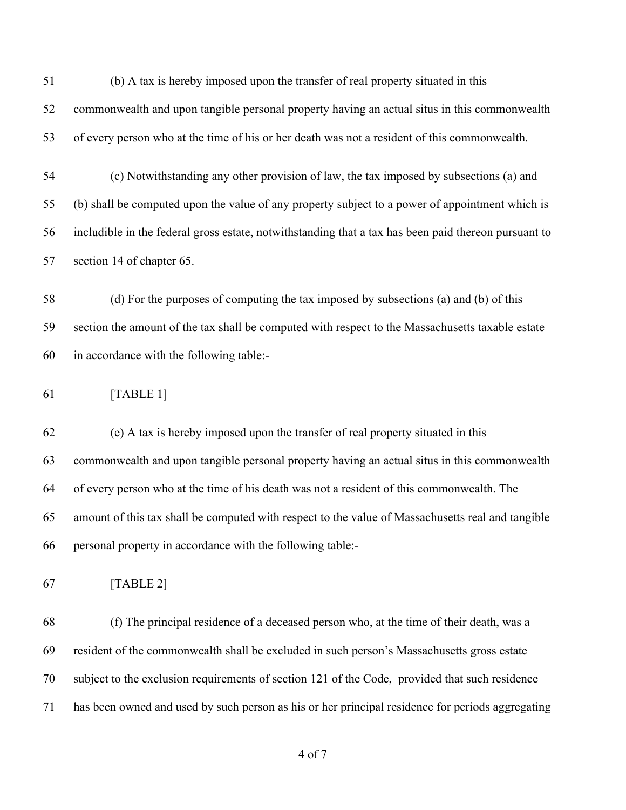(b) A tax is hereby imposed upon the transfer of real property situated in this commonwealth and upon tangible personal property having an actual situs in this commonwealth of every person who at the time of his or her death was not a resident of this commonwealth.

 (c) Notwithstanding any other provision of law, the tax imposed by subsections (a) and (b) shall be computed upon the value of any property subject to a power of appointment which is includible in the federal gross estate, notwithstanding that a tax has been paid thereon pursuant to section 14 of chapter 65.

 (d) For the purposes of computing the tax imposed by subsections (a) and (b) of this section the amount of the tax shall be computed with respect to the Massachusetts taxable estate in accordance with the following table:-

[TABLE 1]

 (e) A tax is hereby imposed upon the transfer of real property situated in this commonwealth and upon tangible personal property having an actual situs in this commonwealth of every person who at the time of his death was not a resident of this commonwealth. The amount of this tax shall be computed with respect to the value of Massachusetts real and tangible personal property in accordance with the following table:-

[TABLE 2]

 (f) The principal residence of a deceased person who, at the time of their death, was a resident of the commonwealth shall be excluded in such person's Massachusetts gross estate subject to the exclusion requirements of section 121 of the Code, provided that such residence has been owned and used by such person as his or her principal residence for periods aggregating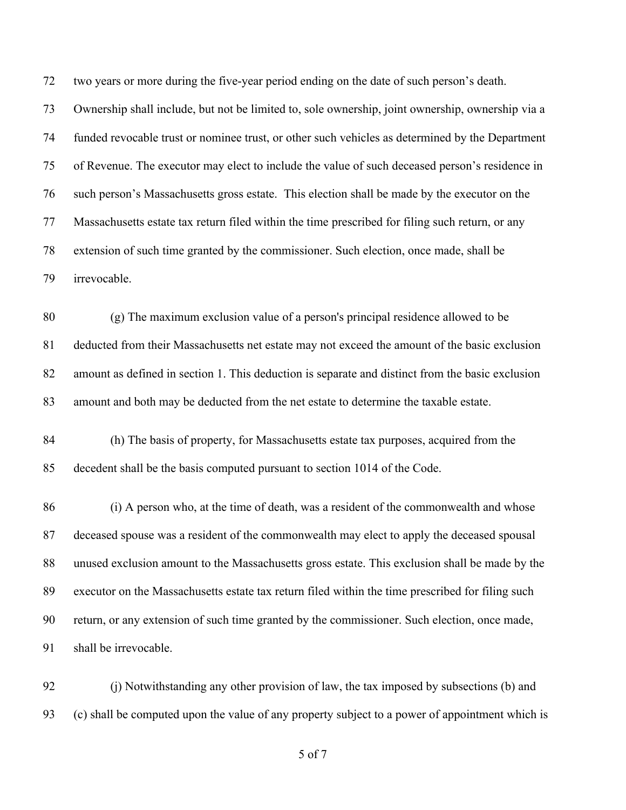two years or more during the five-year period ending on the date of such person's death.

 Ownership shall include, but not be limited to, sole ownership, joint ownership, ownership via a funded revocable trust or nominee trust, or other such vehicles as determined by the Department of Revenue. The executor may elect to include the value of such deceased person's residence in such person's Massachusetts gross estate. This election shall be made by the executor on the Massachusetts estate tax return filed within the time prescribed for filing such return, or any extension of such time granted by the commissioner. Such election, once made, shall be irrevocable.

 (g) The maximum exclusion value of a person's principal residence allowed to be deducted from their Massachusetts net estate may not exceed the amount of the basic exclusion amount as defined in section 1. This deduction is separate and distinct from the basic exclusion amount and both may be deducted from the net estate to determine the taxable estate.

 (h) The basis of property, for Massachusetts estate tax purposes, acquired from the decedent shall be the basis computed pursuant to section 1014 of the Code.

 (i) A person who, at the time of death, was a resident of the commonwealth and whose deceased spouse was a resident of the commonwealth may elect to apply the deceased spousal unused exclusion amount to the Massachusetts gross estate. This exclusion shall be made by the executor on the Massachusetts estate tax return filed within the time prescribed for filing such return, or any extension of such time granted by the commissioner. Such election, once made, shall be irrevocable.

 (j) Notwithstanding any other provision of law, the tax imposed by subsections (b) and (c) shall be computed upon the value of any property subject to a power of appointment which is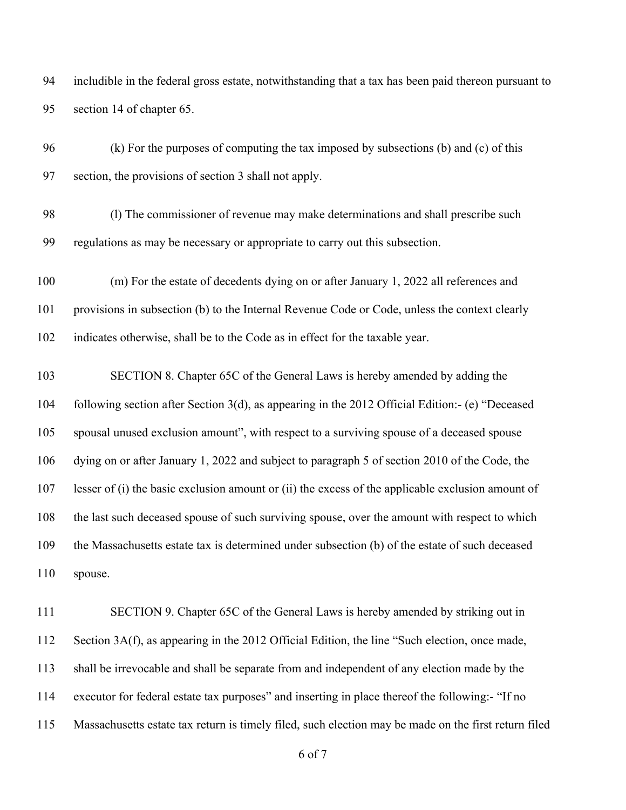includible in the federal gross estate, notwithstanding that a tax has been paid thereon pursuant to section 14 of chapter 65.

 (k) For the purposes of computing the tax imposed by subsections (b) and (c) of this section, the provisions of section 3 shall not apply.

 (l) The commissioner of revenue may make determinations and shall prescribe such regulations as may be necessary or appropriate to carry out this subsection.

 (m) For the estate of decedents dying on or after January 1, 2022 all references and provisions in subsection (b) to the Internal Revenue Code or Code, unless the context clearly indicates otherwise, shall be to the Code as in effect for the taxable year.

 SECTION 8. Chapter 65C of the General Laws is hereby amended by adding the following section after Section 3(d), as appearing in the 2012 Official Edition:- (e) "Deceased spousal unused exclusion amount", with respect to a surviving spouse of a deceased spouse dying on or after January 1, 2022 and subject to paragraph 5 of section 2010 of the Code, the lesser of (i) the basic exclusion amount or (ii) the excess of the applicable exclusion amount of the last such deceased spouse of such surviving spouse, over the amount with respect to which the Massachusetts estate tax is determined under subsection (b) of the estate of such deceased spouse.

 SECTION 9. Chapter 65C of the General Laws is hereby amended by striking out in Section 3A(f), as appearing in the 2012 Official Edition, the line "Such election, once made, shall be irrevocable and shall be separate from and independent of any election made by the executor for federal estate tax purposes" and inserting in place thereof the following:- "If no Massachusetts estate tax return is timely filed, such election may be made on the first return filed